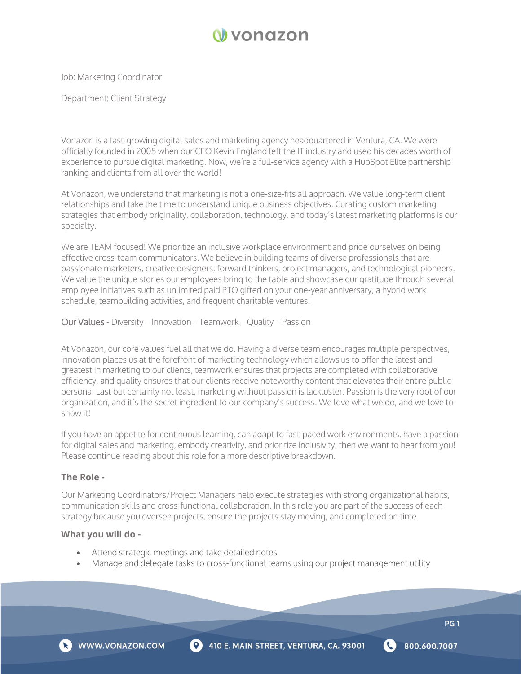

Job: Marketing Coordinator

Department: Client Strategy

Vonazon is a fast-growing digital sales and marketing agency headquartered in Ventura, CA. We were officially founded in 2005 when our CEO Kevin England left the IT industry and used his decades worth of experience to pursue digital marketing. Now, we're a full-service agency with a HubSpot Elite partnership ranking and clients from all over the world!

At Vonazon, we understand that marketing is not a one-size-fits all approach. We value long-term client relationships and take the time to understand unique business objectives. Curating custom marketing strategies that embody originality, collaboration, technology, and today's latest marketing platforms is our specialty.

We are TEAM focused! We prioritize an inclusive workplace environment and pride ourselves on being effective cross-team communicators. We believe in building teams of diverse professionals that are passionate marketers, creative designers, forward thinkers, project managers, and technological pioneers. We value the unique stories our employees bring to the table and showcase our gratitude through several employee initiatives such as unlimited paid PTO gifted on your one-year anniversary, a hybrid work schedule, teambuilding activities, and frequent charitable ventures.

Our Values - Diversity – Innovation – Teamwork – Quality – Passion

At Vonazon, our core values fuel all that we do. Having a diverse team encourages multiple perspectives, innovation places us at the forefront of marketing technology which allows us to offer the latest and greatest in marketing to our clients, teamwork ensures that projects are completed with collaborative efficiency, and quality ensures that our clients receive noteworthy content that elevates their entire public persona. Last but certainly not least, marketing without passion is lackluster. Passion is the very root of our organization, and it's the secret ingredient to our company's success. We love what we do, and we love to show it!

If you have an appetite for continuous learning, can adapt to fast-paced work environments, have a passion for digital sales and marketing, embody creativity, and prioritize inclusivity, then we want to hear from you! Please continue reading about this role for a more descriptive breakdown.

## **The Role -**

Our Marketing Coordinators/Project Managers help execute strategies with strong organizational habits, communication skills and cross-functional collaboration. In this role you are part of the success of each strategy because you oversee projects, ensure the projects stay moving, and completed on time.

## **What you will do -**

- Attend strategic meetings and take detailed notes
- Manage and delegate tasks to cross-functional teams using our project management utility



**PG 1**